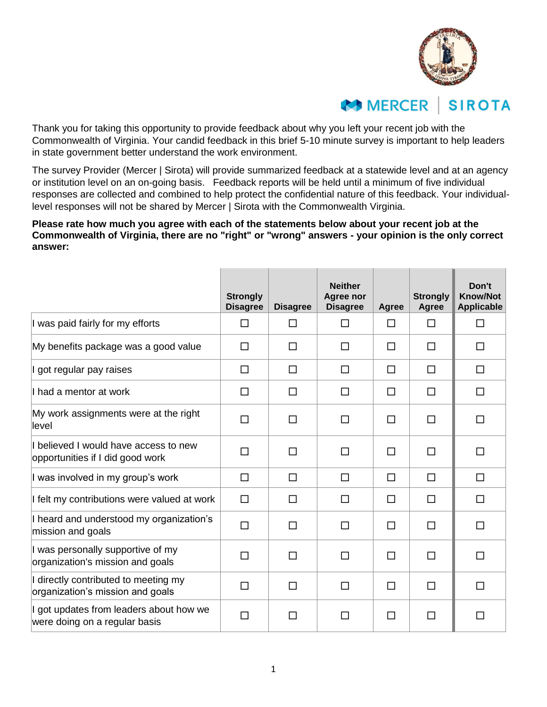

## **MERCER SIROTA**

Thank you for taking this opportunity to provide feedback about why you left your recent job with the Commonwealth of Virginia. Your candid feedback in this brief 5-10 minute survey is important to help leaders in state government better understand the work environment.

The survey Provider (Mercer | Sirota) will provide summarized feedback at a statewide level and at an agency or institution level on an on-going basis. Feedback reports will be held until a minimum of five individual responses are collected and combined to help protect the confidential nature of this feedback. Your individuallevel responses will not be shared by Mercer | Sirota with the Commonwealth Virginia.

**Please rate how much you agree with each of the statements below about your recent job at the Commonwealth of Virginia, there are no "right" or "wrong" answers - your opinion is the only correct answer:**

|                                                                           | <b>Strongly</b><br><b>Disagree</b> | <b>Disagree</b> | <b>Neither</b><br>Agree nor<br><b>Disagree</b> | Agree  | <b>Strongly</b><br>Agree | Don't<br><b>Know/Not</b><br><b>Applicable</b> |
|---------------------------------------------------------------------------|------------------------------------|-----------------|------------------------------------------------|--------|--------------------------|-----------------------------------------------|
| I was paid fairly for my efforts                                          | П                                  | П               | □                                              | □      | П                        | □                                             |
| My benefits package was a good value                                      | □                                  | П               | $\Box$                                         | $\Box$ | $\Box$                   | □                                             |
| I got regular pay raises                                                  | □                                  | □               | $\Box$                                         | □      | □                        | $\Box$                                        |
| I had a mentor at work                                                    | □                                  | П               | П                                              | □      | П                        | □                                             |
| My work assignments were at the right<br>llevel                           | □                                  | П               | □                                              | □      | □                        | $\Box$                                        |
| I believed I would have access to new<br>opportunities if I did good work | □                                  | П               | □                                              | □      | $\Box$                   | $\Box$                                        |
| I was involved in my group's work                                         | □                                  | $\Box$          | $\Box$                                         | □      | $\Box$                   | □                                             |
| I felt my contributions were valued at work                               | $\Box$                             | П               | □                                              | □      | П                        | $\Box$                                        |
| I heard and understood my organization's<br>mission and goals             | $\Box$                             | П               | $\Box$                                         | $\Box$ | П                        | □                                             |
| I was personally supportive of my<br>organization's mission and goals     | $\Box$                             | П               | $\Box$                                         | □      | П                        | □                                             |
| I directly contributed to meeting my<br>organization's mission and goals  | □                                  | П               | $\Box$                                         | □      | П                        | □                                             |
| I got updates from leaders about how we<br>were doing on a regular basis  | □                                  | П               | П                                              | $\Box$ | $\Box$                   | $\Box$                                        |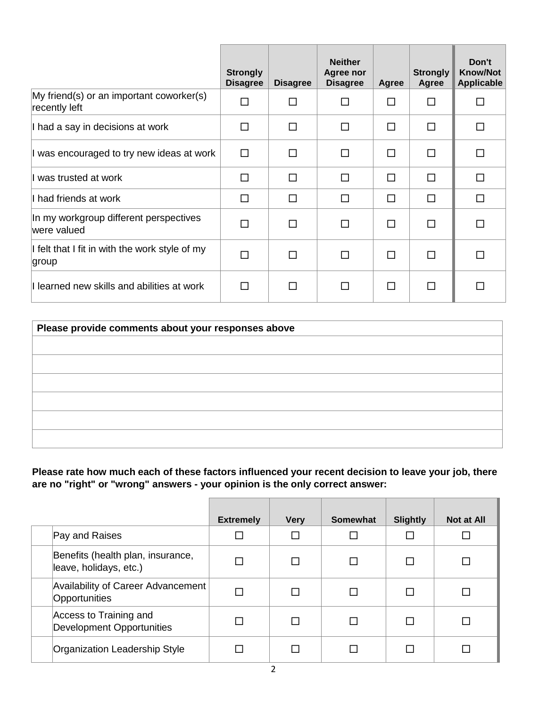|                                                           | <b>Strongly</b><br><b>Disagree</b> | <b>Disagree</b> | <b>Neither</b><br>Agree nor<br><b>Disagree</b> | Agree | <b>Strongly</b><br>Agree | Don't<br><b>Know/Not</b><br><b>Applicable</b> |
|-----------------------------------------------------------|------------------------------------|-----------------|------------------------------------------------|-------|--------------------------|-----------------------------------------------|
| My friend(s) or an important coworker(s)<br>recently left | $\Box$                             |                 | п                                              | П     | П                        | □                                             |
| I had a say in decisions at work                          | П                                  | П               | п                                              | П     | □                        | □                                             |
| I was encouraged to try new ideas at work                 | П                                  | П               | П                                              | П     | П                        | □                                             |
| I was trusted at work                                     | п                                  | П               | П                                              | П     | П                        | П                                             |
| I had friends at work                                     | П                                  | П               | П                                              | П     | П                        | □                                             |
| In my workgroup different perspectives<br>were valued     | п                                  | П               | п                                              | П     | $\Box$                   | □                                             |
| If felt that I fit in with the work style of my<br>group  | П                                  | п               | п                                              | П     | П                        | □                                             |
| I learned new skills and abilities at work                | П                                  | П               | П                                              | П     | П                        | □                                             |

| Please provide comments about your responses above |  |  |  |  |
|----------------------------------------------------|--|--|--|--|
|                                                    |  |  |  |  |
|                                                    |  |  |  |  |
|                                                    |  |  |  |  |
|                                                    |  |  |  |  |
|                                                    |  |  |  |  |
|                                                    |  |  |  |  |
|                                                    |  |  |  |  |

**Please rate how much each of these factors influenced your recent decision to leave your job, there are no "right" or "wrong" answers - your opinion is the only correct answer:**

|                                                             | <b>Extremely</b> | <b>Very</b> | Somewhat | <b>Slightly</b> | <b>Not at All</b> |
|-------------------------------------------------------------|------------------|-------------|----------|-----------------|-------------------|
| Pay and Raises                                              |                  |             |          |                 |                   |
| Benefits (health plan, insurance,<br>leave, holidays, etc.) |                  |             |          |                 |                   |
| Availability of Career Advancement<br>Opportunities         |                  |             |          |                 |                   |
| Access to Training and<br><b>Development Opportunities</b>  |                  |             |          |                 |                   |
| Organization Leadership Style                               |                  |             |          |                 |                   |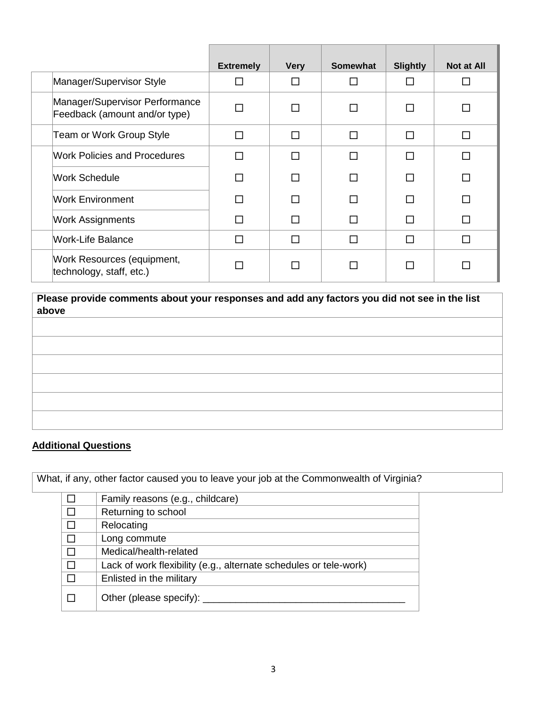|                                                                 | <b>Extremely</b> | <b>Very</b> | <b>Somewhat</b> | <b>Slightly</b> | <b>Not at All</b> |
|-----------------------------------------------------------------|------------------|-------------|-----------------|-----------------|-------------------|
| Manager/Supervisor Style                                        |                  |             |                 |                 | $\mathcal{L}$     |
| Manager/Supervisor Performance<br>Feedback (amount and/or type) |                  | П           |                 | П               | П                 |
| Team or Work Group Style                                        | $\Box$           | П           |                 | П               |                   |
| <b>Work Policies and Procedures</b>                             | П                | П           | П               | П               | П                 |
| <b>Work Schedule</b>                                            |                  | П           |                 | П               | П                 |
| <b>Work Environment</b>                                         | П                | П           |                 | П               |                   |
| <b>Work Assignments</b>                                         | П                | П           |                 | П               | П                 |
| <b>Work-Life Balance</b>                                        | п                | п           | П               | П               | П                 |
| Work Resources (equipment,<br>technology, staff, etc.)          |                  | П           |                 | П               |                   |

**Please provide comments about your responses and add any factors you did not see in the list above**

## **Additional Questions**

What, if any, other factor caused you to leave your job at the Commonwealth of Virginia?

|        | Family reasons (e.g., childcare)                                  |  |
|--------|-------------------------------------------------------------------|--|
| $\Box$ | Returning to school                                               |  |
| $\Box$ | Relocating                                                        |  |
|        | Long commute                                                      |  |
| П      | Medical/health-related                                            |  |
| $\Box$ | Lack of work flexibility (e.g., alternate schedules or tele-work) |  |
|        | Enlisted in the military                                          |  |
|        | Other (please specify):                                           |  |